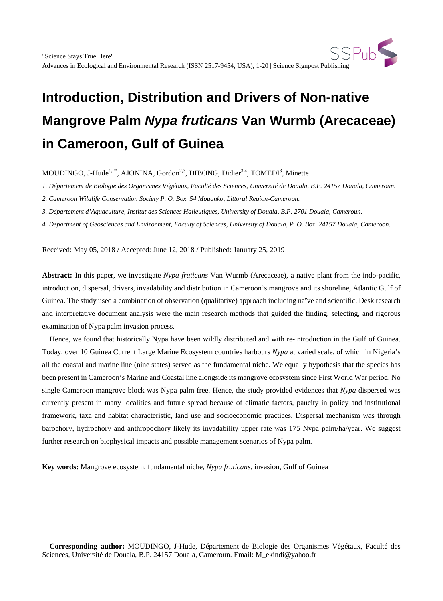MOUDINGO, J-Hude<sup>1,2\*</sup>, AJONINA, Gordon<sup>2,3</sup>, DIBONG, Didier<sup>3,4</sup>, TOMEDI<sup>3</sup>, Minette

*1. Département de Biologie des Organismes Végétaux, Faculté des Sciences, Université de Douala, B.P. 24157 Douala, Cameroun.*

*2. Cameroon Wildlife Conservation Society P. O. Box. 54 Mouanko, Littoral Region-Cameroon.*

*3. Département d'Aquaculture, Institut des Sciences Halieutiques, University of Douala, B.P. 2701 Douala, Cameroun.*

*4. Department of Geosciences and Environment, Faculty of Sciences, University of Douala, P. O. Box. 24157 Douala, Cameroon.*

Received: May 05, 2018 / Accepted: June 12, 2018 / Published: January 25, 2019

**Abstract:** In this paper, we investigate *Nypa fruticans* Van Wurmb (Arecaceae), a native plant from the indo-pacific, introduction, dispersal, drivers, invadability and distribution in Cameroon's mangrove and its shoreline, Atlantic Gulf of Guinea. The study used a combination of observation (qualitative) approach including naïve and scientific. Desk research and interpretative document analysis were the main research methods that guided the finding, selecting, and rigorous examination of Nypa palm invasion process.

Hence, we found that historically Nypa have been wildly distributed and with re-introduction in the Gulf of Guinea. Today, over 10 Guinea Current Large Marine Ecosystem countries harbours *Nypa* at varied scale, of which in Nigeria's all the coastal and marine line (nine states) served as the fundamental niche. We equally hypothesis that the species has been present in Cameroon's Marine and Coastal line alongside its mangrove ecosystem since First World War period. No single Cameroon mangrove block was Nypa palm free. Hence, the study provided evidences that *Nypa* dispersed was currently present in many localities and future spread because of climatic factors, paucity in policy and institutional framework, taxa and habitat characteristic, land use and socioeconomic practices. Dispersal mechanism was through barochory, hydrochory and anthropochory likely its invadability upper rate was 175 Nypa palm/ha/year. We suggest further research on biophysical impacts and possible management scenarios of Nypa palm.

**Key words:** Mangrove ecosystem, fundamental niche, *Nypa fruticans,* invasion, Gulf of Guinea

 $\overline{a}$ 

<span id="page-0-0"></span>**Corresponding author:** MOUDINGO, J-Hude, Département de Biologie des Organismes Végétaux, Faculté des Sciences, Université de Douala, B.P. 24157 Douala, Cameroun. Email: M\_ekindi@yahoo.fr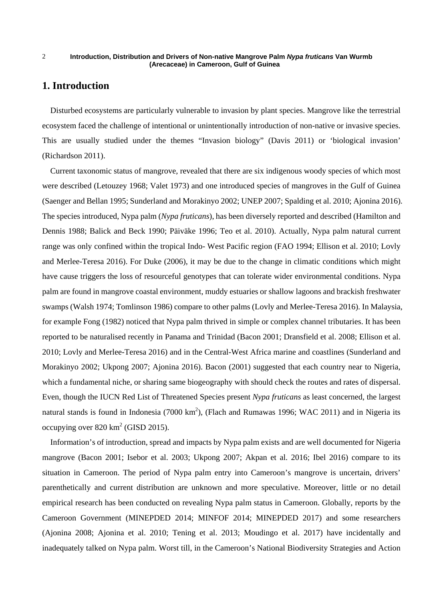# **1. Introduction**

Disturbed ecosystems are particularly vulnerable to invasion by plant species. Mangrove like the terrestrial ecosystem faced the challenge of intentional or unintentionally introduction of non-native or invasive species. This are usually studied under the themes "Invasion biology" (Davis 2011) or 'biological invasion' (Richardson 2011).

Current taxonomic status of mangrove, revealed that there are six indigenous woody species of which most were described (Letouzey 1968; Valet 1973) and one introduced species of mangroves in the Gulf of Guinea (Saenger and Bellan 1995; Sunderland and Morakinyo 2002; UNEP 2007; Spalding et al. 2010; Ajonina 2016). The species introduced, Nypa palm (*Nypa fruticans*), has been diversely reported and described (Hamilton and Dennis 1988; Balick and Beck 1990; Päiväke 1996; Teo et al. 2010). Actually, Nypa palm natural current range was only confined within the tropical Indo- West Pacific region (FAO 1994; Ellison et al. 2010; Lovly and Merlee-Teresa 2016). For Duke (2006), it may be due to the change in climatic conditions which might have cause triggers the loss of resourceful genotypes that can tolerate wider environmental conditions. Nypa palm are found in mangrove coastal environment, muddy estuaries or shallow lagoons and brackish freshwater swamps (Walsh 1974; Tomlinson 1986) compare to other palms (Lovly and Merlee-Teresa 2016). In Malaysia, for example Fong (1982) noticed that Nypa palm thrived in simple or complex channel tributaries. It has been reported to be naturalised recently in Panama and Trinidad (Bacon 2001; Dransfield et al. 2008; Ellison et al. 2010; Lovly and Merlee-Teresa 2016) and in the Central-West Africa marine and coastlines (Sunderland and Morakinyo 2002; Ukpong 2007; Ajonina 2016). Bacon (2001) suggested that each country near to Nigeria, which a fundamental niche, or sharing same biogeography with should check the routes and rates of dispersal. Even, though the IUCN Red List of Threatened Species present *Nypa fruticans* as least concerned, the largest natural stands is found in Indonesia (7000  $km^2$ ), (Flach and Rumawas 1996; WAC 2011) and in Nigeria its occupying over  $820 \text{ km}^2$  (GISD 2015).

Information's of introduction, spread and impacts by Nypa palm exists and are well documented for Nigeria mangrove (Bacon 2001; Isebor et al. 2003; Ukpong 2007; Akpan et al. 2016; Ibel 2016) compare to its situation in Cameroon. The period of Nypa palm entry into Cameroon's mangrove is uncertain, drivers' parenthetically and current distribution are unknown and more speculative. Moreover, little or no detail empirical research has been conducted on revealing Nypa palm status in Cameroon. Globally, reports by the Cameroon Government (MINEPDED 2014; MINFOF 2014; MINEPDED 2017) and some researchers (Ajonina 2008; Ajonina et al. 2010; Tening et al. 2013; Moudingo et al. 2017) have incidentally and inadequately talked on Nypa palm. Worst till, in the Cameroon's National Biodiversity Strategies and Action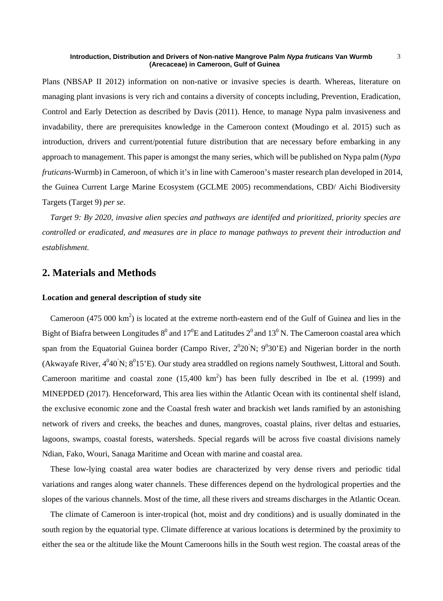Plans (NBSAP II 2012) information on non-native or invasive species is dearth. Whereas, literature on managing plant invasions is very rich and contains a diversity of concepts including, Prevention, Eradication, Control and Early Detection as described by Davis (2011). Hence, to manage Nypa palm invasiveness and invadability, there are prerequisites knowledge in the Cameroon context (Moudingo et al. 2015) such as introduction, drivers and current/potential future distribution that are necessary before embarking in any approach to management. This paper is amongst the many series, which will be published on Nypa palm (*Nypa fruticans*-Wurmb) in Cameroon, of which it's in line with Cameroon's master research plan developed in 2014, the Guinea Current Large Marine Ecosystem (GCLME 2005) recommendations, CBD/ Aichi Biodiversity Targets (Target 9) *per se*.

*Target 9: By 2020, invasive alien species and pathways are identifed and prioritized, priority species are controlled or eradicated, and measures are in place to manage pathways to prevent their introduction and establishment.*

# **2. Materials and Methods**

### **Location and general description of study site**

Cameroon  $(475\ 000\ km^2)$  is located at the extreme north-eastern end of the Gulf of Guinea and lies in the Bight of Biafra between Longitudes  $8^0$  and  $17^0E$  and Latitudes  $2^0$  and  $13^0$  N. The Cameroon coastal area which span from the Equatorial Guinea border (Campo River,  $2^020'N$ ;  $9^030'E$ ) and Nigerian border in the north (Akwayafe River,  $4^0 40^7$ N;  $8^0 15^7$ E). Our study area straddled on regions namely Southwest, Littoral and South. Cameroon maritime and coastal zone  $(15,400 \text{ km}^2)$  has been fully described in Ibe et al. (1999) and MINEPDED (2017). Henceforward, This area lies within the Atlantic Ocean with its continental shelf island, the exclusive economic zone and the Coastal fresh water and brackish wet lands ramified by an astonishing network of rivers and creeks, the beaches and dunes, mangroves, coastal plains, river deltas and estuaries, lagoons, swamps, coastal forests, watersheds. Special regards will be across five coastal divisions namely Ndian, Fako, Wouri, Sanaga Maritime and Ocean with marine and coastal area.

These low-lying coastal area water bodies are characterized by very dense rivers and periodic tidal variations and ranges along water channels. These differences depend on the hydrological properties and the slopes of the various channels. Most of the time, all these rivers and streams discharges in the Atlantic Ocean.

The climate of Cameroon is inter-tropical (hot, moist and dry conditions) and is usually dominated in the south region by the equatorial type. Climate difference at various locations is determined by the proximity to either the sea or the altitude like the Mount Cameroons hills in the South west region. The coastal areas of the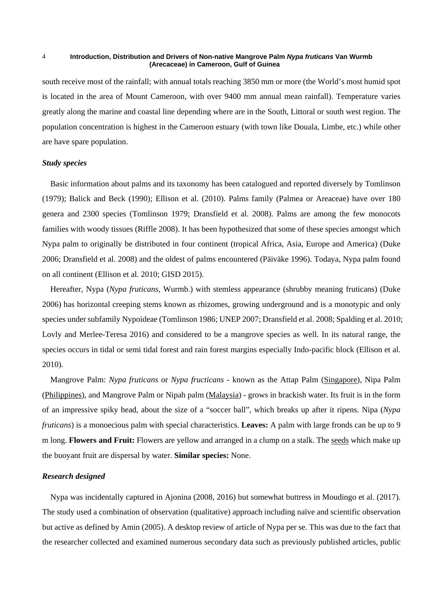south receive most of the rainfall; with annual totals reaching 3850 mm or more (the World's most humid spot is located in the area of Mount Cameroon, with over 9400 mm annual mean rainfall). Temperature varies greatly along the marine and coastal line depending where are in the South, Littoral or south west region. The population concentration is highest in the Cameroon estuary (with town like Douala, Limbe, etc.) while other are have spare population.

### *Study species*

Basic information about palms and its taxonomy has been catalogued and reported diversely by Tomlinson (1979); Balick and Beck (1990); Ellison et al. (2010). Palms family (Palmea or Areaceae) have over 180 genera and 2300 species (Tomlinson 1979; Dransfield et al. 2008). Palms are among the few monocots families with woody tissues (Riffle 2008). It has been hypothesized that some of these species amongst which Nypa palm to originally be distributed in four continent (tropical Africa, Asia, Europe and America) (Duke 2006; Dransfield et al. 2008) and the oldest of palms encountered (Päiväke 1996). Todaya, Nypa palm found on all continent (Ellison et al. 2010; GISD 2015).

Hereafter, Nypa (*Nypa fruticans*, Wurmb.) with stemless appearance (shrubby meaning fruticans) (Duke 2006) has horizontal creeping stems known as rhizomes, growing underground and is a monotypic and only species under subfamily Nypoideae (Tomlinson 1986; UNEP 2007; Dransfield et al. 2008; Spalding et al. 2010; Lovly and Merlee-Teresa 2016) and considered to be a mangrove species as well. In its natural range, the species occurs in tidal or semi tidal forest and rain forest margins especially Indo-pacific block (Ellison et al. 2010).

Mangrove Palm: *Nypa fruticans* or *Nypa fructicans* - known as the Attap Palm (Singapore), Nipa Palm (Philippines), and Mangrove Palm or Nipah palm (Malaysia) - grows in brackish water. Its fruit is in the form of an impressive spiky head, about the size of a "soccer ball", which breaks up after it ripens. Nipa (*Nypa fruticans*) is a monoecious palm with special characteristics. **Leaves:** A palm with large fronds can be up to 9 m long. **Flowers and Fruit:** Flowers are yellow and arranged in a clump on a stalk. The seeds which make up the buoyant fruit are dispersal by water. **Similar species:** None.

### *Research designed*

Nypa was incidentally captured in Ajonina (2008, 2016) but somewhat buttress in Moudingo et al. (2017). The study used a combination of observation (qualitative) approach including naïve and scientific observation but active as defined by Amin (2005). A desktop review of article of Nypa per se. This was due to the fact that the researcher collected and examined numerous secondary data such as previously published articles, public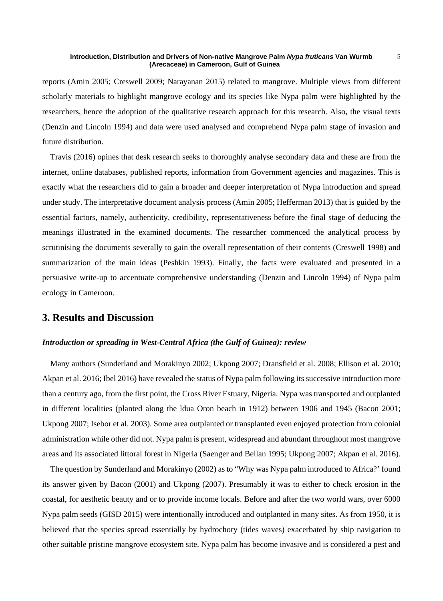reports (Amin 2005; Creswell 2009; Narayanan 2015) related to mangrove. Multiple views from different scholarly materials to highlight mangrove ecology and its species like Nypa palm were highlighted by the researchers, hence the adoption of the qualitative research approach for this research. Also, the visual texts (Denzin and Lincoln 1994) and data were used analysed and comprehend Nypa palm stage of invasion and future distribution.

Travis (2016) opines that desk research seeks to thoroughly analyse secondary data and these are from the internet, online databases, published reports, information from Government agencies and magazines. This is exactly what the researchers did to gain a broader and deeper interpretation of Nypa introduction and spread under study. The interpretative document analysis process (Amin 2005; Hefferman 2013) that is guided by the essential factors, namely, authenticity, credibility, representativeness before the final stage of deducing the meanings illustrated in the examined documents. The researcher commenced the analytical process by scrutinising the documents severally to gain the overall representation of their contents (Creswell 1998) and summarization of the main ideas (Peshkin 1993). Finally, the facts were evaluated and presented in a persuasive write-up to accentuate comprehensive understanding (Denzin and Lincoln 1994) of Nypa palm ecology in Cameroon.

# **3. Results and Discussion**

### *Introduction or spreading in West-Central Africa (the Gulf of Guinea): review*

Many authors (Sunderland and Morakinyo 2002; Ukpong 2007; Dransfield et al. 2008; Ellison et al. 2010; Akpan et al. 2016; Ibel 2016) have revealed the status of Nypa palm following its successive introduction more than a century ago, from the first point, the Cross River Estuary, Nigeria. Nypa was transported and outplanted in different localities (planted along the ldua Oron beach in 1912) between 1906 and 1945 (Bacon 2001; Ukpong 2007; Isebor et al. 2003). Some area outplanted or transplanted even enjoyed protection from colonial administration while other did not. Nypa palm is present, widespread and abundant throughout most mangrove areas and its associated littoral forest in Nigeria (Saenger and Bellan 1995; Ukpong 2007; Akpan et al. 2016).

The question by Sunderland and Morakinyo (2002) as to "Why was Nypa palm introduced to Africa?' found its answer given by Bacon (2001) and Ukpong (2007). Presumably it was to either to check erosion in the coastal, for aesthetic beauty and or to provide income locals. Before and after the two world wars, over 6000 Nypa palm seeds (GISD 2015) were intentionally introduced and outplanted in many sites. As from 1950, it is believed that the species spread essentially by hydrochory (tides waves) exacerbated by ship navigation to other suitable pristine mangrove ecosystem site. Nypa palm has become invasive and is considered a pest and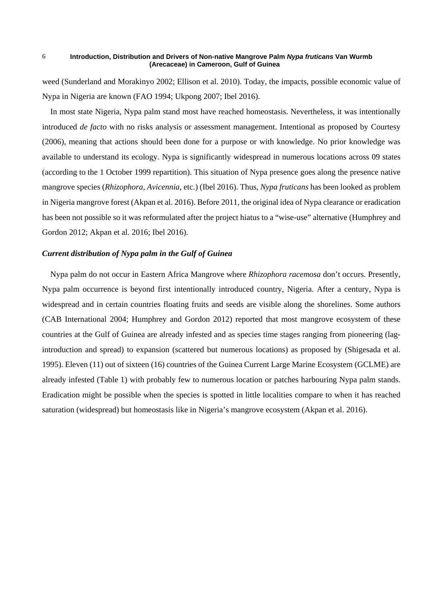weed (Sunderland and Morakinyo 2002; Ellison et al. 2010). Today, the impacts, possible economic value of Nypa in Nigeria are known (FAO 1994; Ukpong 2007; Ibel 2016).

In most state Nigeria, Nypa palm stand most have reached homeostasis. Nevertheless, it was intentionally introduced *de facto* with no risks analysis or assessment management. Intentional as proposed by Courtesy (2006), meaning that actions should been done for a purpose or with knowledge. No prior knowledge was available to understand its ecology. Nypa is significantly widespread in numerous locations across 09 states (according to the 1 October 1999 repartition). This situation of Nypa presence goes along the presence native mangrove species (*Rhizophora*, *Avicennia*, etc.) (Ibel 2016). Thus, *Nypa fruticans* has been looked as problem in Nigeria mangrove forest (Akpan et al. 2016). Before 2011, the original idea of Nypa clearance or eradication has been not possible so it was reformulated after the project hiatus to a "wise-use" alternative (Humphrey and Gordon 2012; Akpan et al. 2016; Ibel 2016).

### *Current distribution of Nypa palm in the Gulf of Guinea*

Nypa palm do not occur in Eastern Africa Mangrove where *Rhizophora racemosa* don't occurs. Presently, Nypa palm occurrence is beyond first intentionally introduced country, Nigeria. After a century, Nypa is widespread and in certain countries floating fruits and seeds are visible along the shorelines. Some authors (CAB International 2004; Humphrey and Gordon 2012) reported that most mangrove ecosystem of these countries at the Gulf of Guinea are already infested and as species time stages ranging from pioneering (lagintroduction and spread) to expansion (scattered but numerous locations) as proposed by (Shigesada et al. 1995). Eleven (11) out of sixteen (16) countries of the Guinea Current Large Marine Ecosystem (GCLME) are already infested (Table 1) with probably few to numerous location or patches harbouring Nypa palm stands. Eradication might be possible when the species is spotted in little localities compare to when it has reached saturation (widespread) but homeostasis like in Nigeria's mangrove ecosystem (Akpan et al. 2016).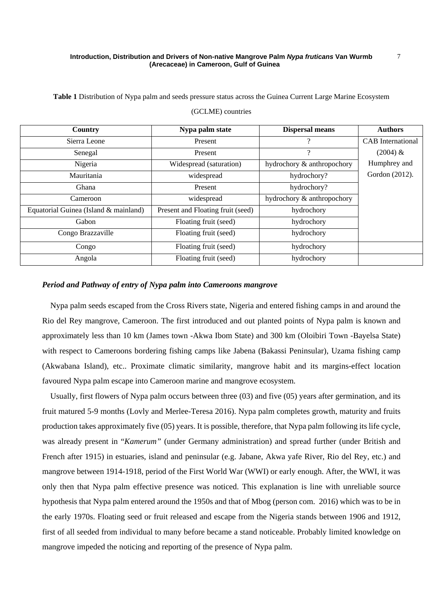**Table 1** Distribution of Nypa palm and seeds pressure status across the Guinea Current Large Marine Ecosystem

| Country                               | Nypa palm state<br><b>Dispersal means</b> |                            | <b>Authors</b>           |  |
|---------------------------------------|-------------------------------------------|----------------------------|--------------------------|--|
| Sierra Leone                          | ?<br>Present                              |                            | <b>CAB</b> International |  |
| Senegal                               | Present                                   | $\overline{\mathcal{L}}$   | $(2004) \&$              |  |
| Nigeria                               | Widespread (saturation)                   | hydrochory & anthropochory | Humphrey and             |  |
| Mauritania                            | widespread                                | hydrochory?                | Gordon (2012).           |  |
| Ghana                                 | Present                                   | hydrochory?                |                          |  |
| Cameroon                              | widespread                                | hydrochory & anthropochory |                          |  |
| Equatorial Guinea (Island & mainland) | Present and Floating fruit (seed)         | hydrochory                 |                          |  |
| Gabon                                 | Floating fruit (seed)                     | hydrochory                 |                          |  |
| Congo Brazzaville                     | Floating fruit (seed)                     | hydrochory                 |                          |  |
| Congo                                 | Floating fruit (seed)                     | hydrochory                 |                          |  |
| Angola                                | Floating fruit (seed)                     | hydrochory                 |                          |  |

### (GCLME) countries

### *Period and Pathway of entry of Nypa palm into Cameroons mangrove*

Nypa palm seeds escaped from the Cross Rivers state, Nigeria and entered fishing camps in and around the Rio del Rey mangrove, Cameroon. The first introduced and out planted points of Nypa palm is known and approximately less than 10 km (James town -Akwa Ibom State) and 300 km (Oloibiri Town -Bayelsa State) with respect to Cameroons bordering fishing camps like Jabena (Bakassi Peninsular), Uzama fishing camp (Akwabana Island), etc.. Proximate climatic similarity, mangrove habit and its margins-effect location favoured Nypa palm escape into Cameroon marine and mangrove ecosystem.

Usually, first flowers of Nypa palm occurs between three (03) and five (05) years after germination, and its fruit matured 5-9 months (Lovly and Merlee-Teresa 2016). Nypa palm completes growth, maturity and fruits production takes approximately five (05) years. It is possible, therefore, that Nypa palm following its life cycle, was already present in "*Kamerum"* (under Germany administration) and spread further (under British and French after 1915) in estuaries, island and peninsular (e.g. Jabane, Akwa yafe River, Rio del Rey, etc.) and mangrove between 1914-1918, period of the First World War (WWI) or early enough. After, the WWI, it was only then that Nypa palm effective presence was noticed. This explanation is line with unreliable source hypothesis that Nypa palm entered around the 1950s and that of Mbog (person com. 2016) which was to be in the early 1970s. Floating seed or fruit released and escape from the Nigeria stands between 1906 and 1912, first of all seeded from individual to many before became a stand noticeable. Probably limited knowledge on mangrove impeded the noticing and reporting of the presence of Nypa palm.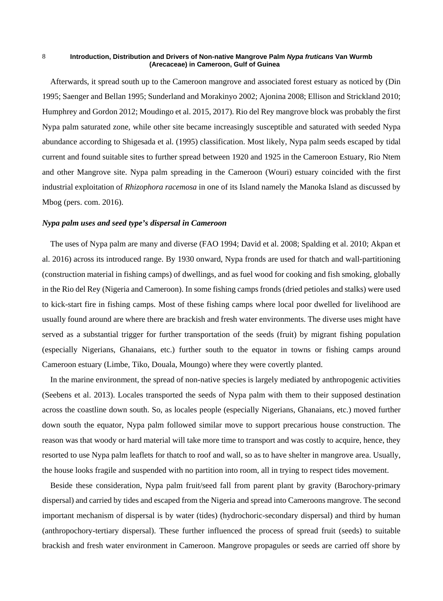Afterwards, it spread south up to the Cameroon mangrove and associated forest estuary as noticed by (Din 1995; Saenger and Bellan 1995; Sunderland and Morakinyo 2002; Ajonina 2008; Ellison and Strickland 2010; Humphrey and Gordon 2012; Moudingo et al. 2015, 2017). Rio del Rey mangrove block was probably the first Nypa palm saturated zone, while other site became increasingly susceptible and saturated with seeded Nypa abundance according to Shigesada et al. (1995) classification. Most likely, Nypa palm seeds escaped by tidal current and found suitable sites to further spread between 1920 and 1925 in the Cameroon Estuary, Rio Ntem and other Mangrove site. Nypa palm spreading in the Cameroon (Wouri) estuary coincided with the first industrial exploitation of *Rhizophora racemosa* in one of its Island namely the Manoka Island as discussed by Mbog (pers. com. 2016).

### *Nypa palm uses and seed type's dispersal in Cameroon*

The uses of Nypa palm are many and diverse (FAO 1994; David et al. 2008; Spalding et al. 2010; Akpan et al. 2016) across its introduced range. By 1930 onward, Nypa fronds are used for thatch and wall-partitioning (construction material in fishing camps) of dwellings, and as fuel wood for cooking and fish smoking, globally in the Rio del Rey (Nigeria and Cameroon). In some fishing camps fronds (dried petioles and stalks) were used to kick-start fire in fishing camps. Most of these fishing camps where local poor dwelled for livelihood are usually found around are where there are brackish and fresh water environments. The diverse uses might have served as a substantial trigger for further transportation of the seeds (fruit) by migrant fishing population (especially Nigerians, Ghanaians, etc.) further south to the equator in towns or fishing camps around Cameroon estuary (Limbe, Tiko, Douala, Moungo) where they were covertly planted.

In the marine environment, the spread of non-native species is largely mediated by anthropogenic activities (Seebens et al. 2013). Locales transported the seeds of Nypa palm with them to their supposed destination across the coastline down south. So, as locales people (especially Nigerians, Ghanaians, etc.) moved further down south the equator, Nypa palm followed similar move to support precarious house construction. The reason was that woody or hard material will take more time to transport and was costly to acquire, hence, they resorted to use Nypa palm leaflets for thatch to roof and wall, so as to have shelter in mangrove area. Usually, the house looks fragile and suspended with no partition into room, all in trying to respect tides movement.

Beside these consideration, Nypa palm fruit/seed fall from parent plant by gravity (Barochory-primary dispersal) and carried by tides and escaped from the Nigeria and spread into Cameroons mangrove. The second important mechanism of dispersal is by water (tides) (hydrochoric-secondary dispersal) and third by human (anthropochory-tertiary dispersal). These further influenced the process of spread fruit (seeds) to suitable brackish and fresh water environment in Cameroon. Mangrove propagules or seeds are carried off shore by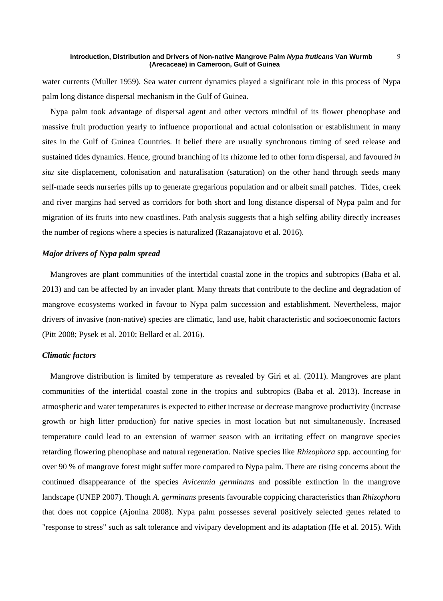water currents (Muller 1959). Sea water current dynamics played a significant role in this process of Nypa palm long distance dispersal mechanism in the Gulf of Guinea.

Nypa palm took advantage of dispersal agent and other vectors mindful of its flower phenophase and massive fruit production yearly to influence proportional and actual colonisation or establishment in many sites in the Gulf of Guinea Countries. It belief there are usually synchronous timing of seed release and sustained tides dynamics. Hence, ground branching of its rhizome led to other form dispersal, and favoured *in situ* site displacement, colonisation and naturalisation (saturation) on the other hand through seeds many self-made seeds nurseries pills up to generate gregarious population and or albeit small patches. Tides, creek and river margins had served as corridors for both short and long distance dispersal of Nypa palm and for migration of its fruits into new coastlines. Path analysis suggests that a high selfing ability directly increases the number of regions where a species is naturalized (Razanajatovo et al. 2016).

### *Major drivers of Nypa palm spread*

Mangroves are plant communities of the intertidal coastal zone in the tropics and subtropics (Baba et al. 2013) and can be affected by an invader plant. Many threats that contribute to the decline and degradation of mangrove ecosystems worked in favour to Nypa palm succession and establishment. Nevertheless, major drivers of invasive (non-native) species are climatic, land use, habit characteristic and socioeconomic factors (Pitt 2008; Pysek et al. 2010; Bellard et al. 2016).

### *Climatic factors*

Mangrove distribution is limited by temperature as revealed by Giri et al. (2011). Mangroves are plant communities of the intertidal coastal zone in the tropics and subtropics (Baba et al. 2013). Increase in atmospheric and water temperatures is expected to either increase or decrease mangrove productivity (increase growth or high litter production) for native species in most location but not simultaneously. Increased temperature could lead to an extension of warmer season with an irritating effect on mangrove species retarding flowering phenophase and natural regeneration. Native species like *Rhizophora* spp. accounting for over 90 % of mangrove forest might suffer more compared to Nypa palm. There are rising concerns about the continued disappearance of the species *Avicennia germinans* and possible extinction in the mangrove landscape (UNEP 2007). Though *A. germinans* presents favourable coppicing characteristics than *Rhizophora* that does not coppice (Ajonina 2008). Nypa palm possesses several positively selected genes related to "response to stress" such as salt tolerance and vivipary development and its adaptation (He et al. 2015). With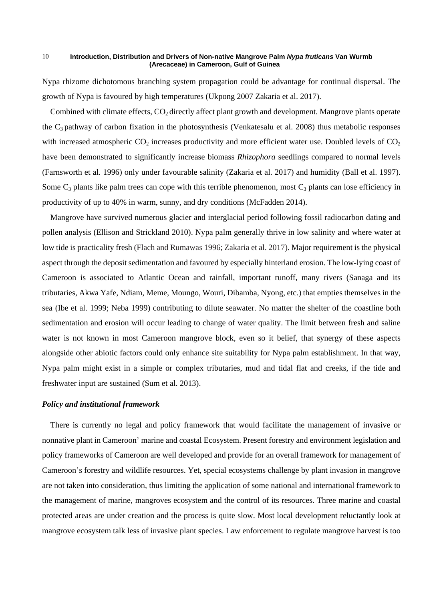Nypa rhizome dichotomous branching system propagation could be advantage for continual dispersal. The growth of Nypa is favoured by high temperatures (Ukpong 2007 Zakaria et al. 2017).

Combined with climate effects,  $CO_2$  directly affect plant growth and development. Mangrove plants operate the  $C_3$  pathway of carbon fixation in the photosynthesis (Venkatesalu et al. 2008) thus metabolic responses with increased atmospheric  $CO_2$  increases productivity and more efficient water use. Doubled levels of  $CO_2$ have been demonstrated to significantly increase biomass *Rhizophora* seedlings compared to normal levels (Farnsworth et al. 1996) only under favourable salinity (Zakaria et al. 2017) and humidity (Ball et al. 1997). Some  $C_3$  plants like palm trees can cope with this terrible phenomenon, most  $C_3$  plants can lose efficiency in productivity of up to 40% in warm, sunny, and dry conditions (McFadden 2014).

Mangrove have survived numerous glacier and interglacial period following fossil radiocarbon dating and pollen analysis (Ellison and Strickland 2010). Nypa palm generally thrive in low salinity and where water at low tide is practicality fresh (Flach and Rumawas 1996; Zakaria et al. 2017). Major requirement is the physical aspect through the deposit sedimentation and favoured by especially hinterland erosion. The low-lying coast of Cameroon is associated to Atlantic Ocean and rainfall, important runoff, many rivers (Sanaga and its tributaries, Akwa Yafe, Ndiam, Meme, Moungo, Wouri, Dibamba, Nyong, etc.) that empties themselves in the sea (Ibe et al. 1999; Neba 1999) contributing to dilute seawater. No matter the shelter of the coastline both sedimentation and erosion will occur leading to change of water quality. The limit between fresh and saline water is not known in most Cameroon mangrove block, even so it belief, that synergy of these aspects alongside other abiotic factors could only enhance site suitability for Nypa palm establishment. In that way, Nypa palm might exist in a simple or complex tributaries, mud and tidal flat and creeks, if the tide and freshwater input are sustained (Sum et al. 2013).

### *Policy and institutional framework*

There is currently no legal and policy framework that would facilitate the management of invasive or nonnative plant in Cameroon' marine and coastal Ecosystem. Present forestry and environment legislation and policy frameworks of Cameroon are well developed and provide for an overall framework for management of Cameroon's forestry and wildlife resources. Yet, special ecosystems challenge by plant invasion in mangrove are not taken into consideration, thus limiting the application of some national and international framework to the management of marine, mangroves ecosystem and the control of its resources. Three marine and coastal protected areas are under creation and the process is quite slow. Most local development reluctantly look at mangrove ecosystem talk less of invasive plant species. Law enforcement to regulate mangrove harvest is too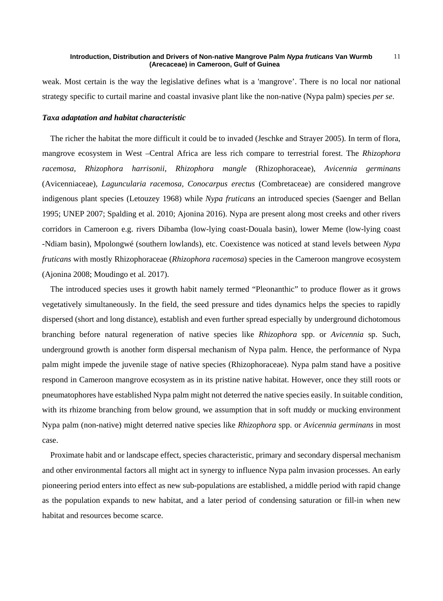weak. Most certain is the way the legislative defines what is a 'mangrove'. There is no local nor national strategy specific to curtail marine and coastal invasive plant like the non-native (Nypa palm) species *per se*.

## *Taxa adaptation and habitat characteristic*

The richer the habitat the more difficult it could be to invaded (Jeschke and Strayer 2005). In term of flora, mangrove ecosystem in West –Central Africa are less rich compare to terrestrial forest. The *Rhizophora racemosa, Rhizophora harrisonii*, *Rhizophora mangle* (Rhizophoraceae), *Avicennia germinans*  (Avicenniaceae)*, Laguncularia racemosa, Conocarpus erectus* (Combretaceae) are considered mangrove indigenous plant species (Letouzey 1968) while *Nypa fruticans* an introduced species (Saenger and Bellan 1995; UNEP 2007; Spalding et al. 2010; Ajonina 2016). Nypa are present along most creeks and other rivers corridors in Cameroon e.g. rivers Dibamba (low-lying coast-Douala basin), lower Meme (low-lying coast -Ndiam basin), Mpolongwé (southern lowlands), etc. Coexistence was noticed at stand levels between *Nypa fruticans* with mostly Rhizophoraceae (*Rhizophora racemosa*) species in the Cameroon mangrove ecosystem (Ajonina 2008; Moudingo et al. 2017).

The introduced species uses it growth habit namely termed "Pleonanthic" to produce flower as it grows vegetatively simultaneously. In the field, the seed pressure and tides dynamics helps the species to rapidly dispersed (short and long distance), establish and even further spread especially by underground dichotomous branching before natural regeneration of native species like *Rhizophora* spp. or *Avicennia* sp. Such, underground growth is another form dispersal mechanism of Nypa palm. Hence, the performance of Nypa palm might impede the juvenile stage of native species (Rhizophoraceae). Nypa palm stand have a positive respond in Cameroon mangrove ecosystem as in its pristine native habitat. However, once they still roots or pneumatophores have established Nypa palm might not deterred the native species easily. In suitable condition, with its rhizome branching from below ground, we assumption that in soft muddy or mucking environment Nypa palm (non-native) might deterred native species like *Rhizophora* spp. or *Avicennia germinans* in most case.

Proximate habit and or landscape effect, species characteristic, primary and secondary dispersal mechanism and other environmental factors all might act in synergy to influence Nypa palm invasion processes. An early pioneering period enters into effect as new sub-populations are established, a middle period with rapid change as the population expands to new habitat, and a later period of condensing saturation or fill-in when new habitat and resources become scarce.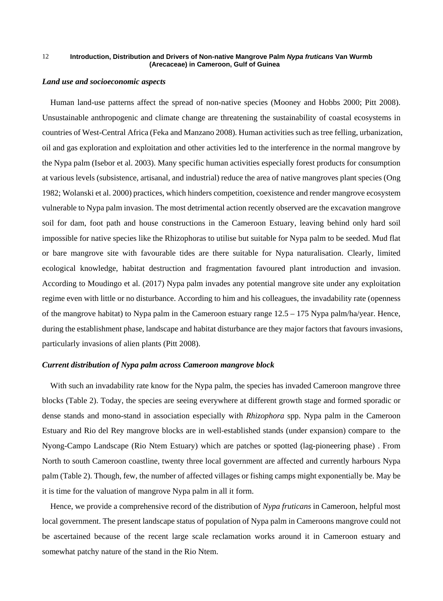#### *Land use and socioeconomic aspects*

Human land-use patterns affect the spread of non-native species (Mooney and Hobbs 2000; Pitt 2008). Unsustainable anthropogenic and climate change are threatening the sustainability of coastal ecosystems in countries of West-Central Africa (Feka and Manzano 2008). Human activities such as tree felling, urbanization, oil and gas exploration and exploitation and other activities led to the interference in the normal mangrove by the Nypa palm (Isebor et al. 2003). Many specific human activities especially forest products for consumption at various levels (subsistence, artisanal, and industrial) reduce the area of native mangroves plant species (Ong 1982; Wolanski et al. 2000) practices, which hinders competition, coexistence and render mangrove ecosystem vulnerable to Nypa palm invasion. The most detrimental action recently observed are the excavation mangrove soil for dam, foot path and house constructions in the Cameroon Estuary, leaving behind only hard soil impossible for native species like the Rhizophoras to utilise but suitable for Nypa palm to be seeded. Mud flat or bare mangrove site with favourable tides are there suitable for Nypa naturalisation. Clearly, limited ecological knowledge, habitat destruction and fragmentation favoured plant introduction and invasion. According to Moudingo et al. (2017) Nypa palm invades any potential mangrove site under any exploitation regime even with little or no disturbance. According to him and his colleagues, the invadability rate (openness of the mangrove habitat) to Nypa palm in the Cameroon estuary range 12.5 – 175 Nypa palm/ha/year. Hence, during the establishment phase, landscape and habitat disturbance are they major factors that favours invasions, particularly invasions of alien plants (Pitt 2008).

### *Current distribution of Nypa palm across Cameroon mangrove block*

With such an invadability rate know for the Nypa palm, the species has invaded Cameroon mangrove three blocks (Table 2). Today, the species are seeing everywhere at different growth stage and formed sporadic or dense stands and mono-stand in association especially with *Rhizophora* spp. Nypa palm in the Cameroon Estuary and Rio del Rey mangrove blocks are in well-established stands (under expansion) compare to the Nyong-Campo Landscape (Rio Ntem Estuary) which are patches or spotted (lag-pioneering phase) . From North to south Cameroon coastline, twenty three local government are affected and currently harbours Nypa palm (Table 2). Though, few, the number of affected villages or fishing camps might exponentially be. May be it is time for the valuation of mangrove Nypa palm in all it form.

Hence, we provide a comprehensive record of the distribution of *Nypa fruticans* in Cameroon, helpful most local government. The present landscape status of population of Nypa palm in Cameroons mangrove could not be ascertained because of the recent large scale reclamation works around it in Cameroon estuary and somewhat patchy nature of the stand in the Rio Ntem.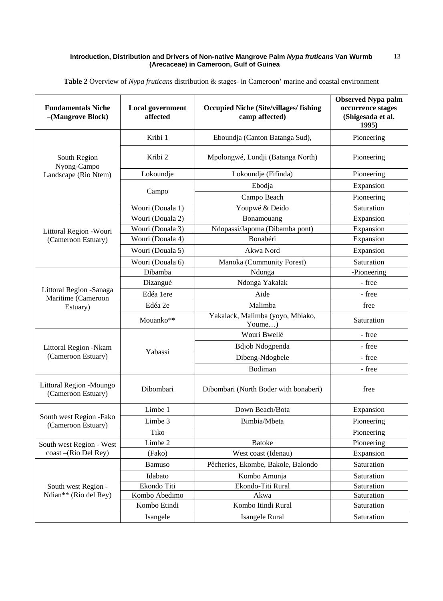| <b>Fundamentals Niche</b><br>-(Mangrove Block)             | <b>Local government</b><br>affected | <b>Occupied Niche (Site/villages/fishing</b><br>camp affected) | <b>Observed Nypa palm</b><br>occurrence stages<br>(Shigesada et al.<br>1995) |
|------------------------------------------------------------|-------------------------------------|----------------------------------------------------------------|------------------------------------------------------------------------------|
| South Region<br>Nyong-Campo<br>Landscape (Rio Ntem)        | Kribi 1                             | Eboundja (Canton Batanga Sud),                                 | Pioneering                                                                   |
|                                                            | Kribi 2                             | Mpolongwé, Londji (Batanga North)                              | Pioneering                                                                   |
|                                                            | Lokoundje                           | Lokoundje (Fifinda)                                            | Pioneering                                                                   |
|                                                            | Campo                               | Ebodja                                                         | Expansion                                                                    |
|                                                            |                                     | Campo Beach                                                    | Pioneering                                                                   |
| Littoral Region - Wouri<br>(Cameroon Estuary)              | Wouri (Douala 1)                    | Youpwé & Deido                                                 | Saturation                                                                   |
|                                                            | Wouri (Douala 2)                    | Bonamouang                                                     | Expansion                                                                    |
|                                                            | Wouri (Douala 3)                    | Ndopassi/Japoma (Dibamba pont)                                 | Expansion                                                                    |
|                                                            | Wouri (Douala 4)                    | Bonabéri                                                       | Expansion                                                                    |
|                                                            | Wouri (Douala 5)                    | Akwa Nord                                                      | Expansion                                                                    |
|                                                            | Wouri (Douala 6)                    | Manoka (Community Forest)                                      | Saturation                                                                   |
| Littoral Region - Sanaga<br>Maritime (Cameroon<br>Estuary) | Dibamba                             | Ndonga                                                         | -Pioneering                                                                  |
|                                                            | Dizangué                            | Ndonga Yakalak                                                 | - free                                                                       |
|                                                            | Edéa 1ere                           | Aide                                                           | - free                                                                       |
|                                                            | Edéa 2e                             | Malimba                                                        | free                                                                         |
|                                                            | Mouanko**                           | Yakalack, Malimba (yoyo, Mbiako,<br>Youme)                     | Saturation                                                                   |
| Littoral Region -Nkam<br>(Cameroon Estuary)                |                                     | Wouri Bwellé                                                   | - free                                                                       |
|                                                            |                                     | <b>Bdjob Ndogpenda</b>                                         | - free                                                                       |
|                                                            | Yabassi                             | Dibeng-Ndogbele                                                | - free                                                                       |
|                                                            |                                     | Bodiman                                                        | - free                                                                       |
| Littoral Region - Moungo<br>(Cameroon Estuary)             | Dibombari                           | Dibombari (North Boder with bonaberi)                          | free                                                                         |
| South west Region -Fako<br>(Cameroon Estuary)              | Limbe 1                             | Down Beach/Bota                                                | Expansion                                                                    |
|                                                            | Limbe 3                             | Bimbia/Mbeta                                                   | Pioneering                                                                   |
|                                                            | Tiko                                |                                                                | Pioneering                                                                   |
| South west Region - West<br>coast-(Rio Del Rey)            | Limbe 2                             | <b>Batoke</b>                                                  | Pioneering                                                                   |
|                                                            | (Fako)                              | West coast (Idenau)                                            | Expansion                                                                    |
| South west Region -<br>Ndian** (Rio del Rey)               | Bamuso                              | Pêcheries, Ekombe, Bakole, Balondo                             | Saturation                                                                   |
|                                                            | Idabato                             | Kombo Amunja                                                   | Saturation                                                                   |
|                                                            | Ekondo Titi                         | Ekondo-Titi Rural                                              | Saturation                                                                   |
|                                                            | Kombo Abedimo                       | Akwa                                                           | Saturation                                                                   |
|                                                            | Kombo Etindi                        | Kombo Itindi Rural                                             | Saturation                                                                   |
|                                                            | Isangele                            | Isangele Rural                                                 | Saturation                                                                   |

**Table 2** Overview of *Nypa fruticans* distribution & stages- in Cameroon' marine and coastal environment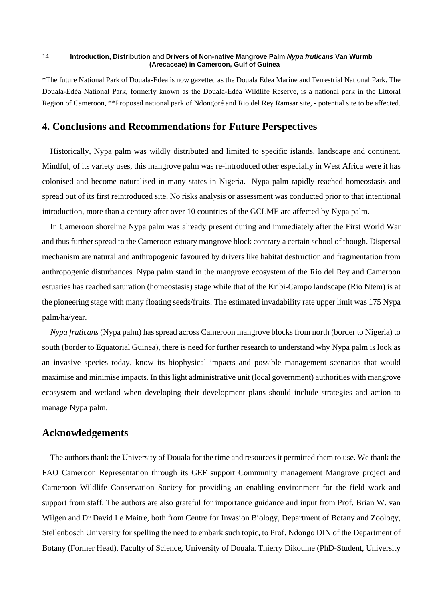\*The future National Park of Douala-Edea is now gazetted as the Douala Edea Marine and Terrestrial National Park. The Douala-Edéa National Park, formerly known as the Douala-Edéa Wildlife Reserve, is a national park in the Littoral Region of Cameroon, \*\*Proposed national park of Ndongoré and Rio del Rey Ramsar site, - potential site to be affected.

# **4. Conclusions and Recommendations for Future Perspectives**

Historically, Nypa palm was wildly distributed and limited to specific islands, landscape and continent. Mindful, of its variety uses, this mangrove palm was re-introduced other especially in West Africa were it has colonised and become naturalised in many states in Nigeria. Nypa palm rapidly reached homeostasis and spread out of its first reintroduced site. No risks analysis or assessment was conducted prior to that intentional introduction, more than a century after over 10 countries of the GCLME are affected by Nypa palm.

In Cameroon shoreline Nypa palm was already present during and immediately after the First World War and thus further spread to the Cameroon estuary mangrove block contrary a certain school of though. Dispersal mechanism are natural and anthropogenic favoured by drivers like habitat destruction and fragmentation from anthropogenic disturbances. Nypa palm stand in the mangrove ecosystem of the Rio del Rey and Cameroon estuaries has reached saturation (homeostasis) stage while that of the Kribi-Campo landscape (Rio Ntem) is at the pioneering stage with many floating seeds/fruits. The estimated invadability rate upper limit was 175 Nypa palm/ha/year.

*Nypa fruticans* (Nypa palm) has spread across Cameroon mangrove blocks from north (border to Nigeria) to south (border to Equatorial Guinea), there is need for further research to understand why Nypa palm is look as an invasive species today, know its biophysical impacts and possible management scenarios that would maximise and minimise impacts. In this light administrative unit (local government) authorities with mangrove ecosystem and wetland when developing their development plans should include strategies and action to manage Nypa palm.

# **Acknowledgements**

The authors thank the University of Douala for the time and resources it permitted them to use. We thank the FAO Cameroon Representation through its GEF support Community management Mangrove project and Cameroon Wildlife Conservation Society for providing an enabling environment for the field work and support from staff. The authors are also grateful for importance guidance and input from Prof. Brian W. van Wilgen and Dr David Le Maitre, both from Centre for Invasion Biology, Department of Botany and Zoology, Stellenbosch University for spelling the need to embark such topic, to Prof. Ndongo DIN of the Department of Botany (Former Head), Faculty of Science, University of Douala. Thierry Dikoume (PhD-Student, University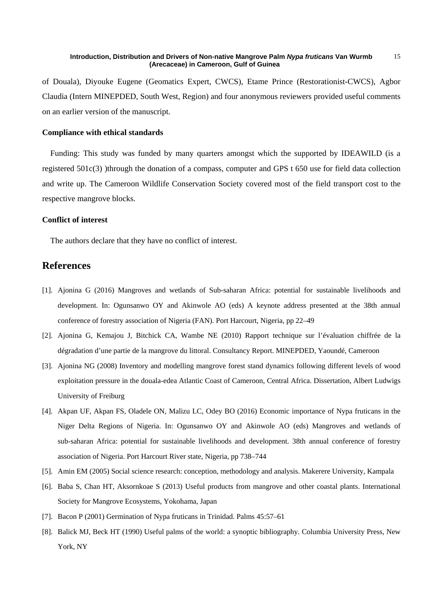of Douala), Diyouke Eugene (Geomatics Expert, CWCS), Etame Prince (Restorationist-CWCS), Agbor Claudia (Intern MINEPDED, South West, Region) and four anonymous reviewers provided useful comments on an earlier version of the manuscript.

### **Compliance with ethical standards**

Funding: This study was funded by many quarters amongst which the supported by IDEAWILD (is a registered 501c(3) )through the donation of a compass, computer and GPS t 650 use for field data collection and write up. The Cameroon Wildlife Conservation Society covered most of the field transport cost to the respective mangrove blocks.

### **Conflict of interest**

The authors declare that they have no conflict of interest.

# **References**

- [1]. Ajonina G (2016) Mangroves and wetlands of Sub-saharan Africa: potential for sustainable livelihoods and development. In: Ogunsanwo OY and Akinwole AO (eds) A keynote address presented at the 38th annual conference of forestry association of Nigeria (FAN). Port Harcourt, Nigeria, pp 22–49
- [2]. Ajonina G, Kemajou J, Bitchick CA, Wambe NE (2010) Rapport technique sur l'évaluation chiffrée de la dégradation d'une partie de la mangrove du littoral. Consultancy Report. MINEPDED, Yaoundé, Cameroon
- [3]. Ajonina NG (2008) Inventory and modelling mangrove forest stand dynamics following different levels of wood exploitation pressure in the douala-edea Atlantic Coast of Cameroon, Central Africa. Dissertation, Albert Ludwigs University of Freiburg
- [4]. Akpan UF, Akpan FS, Oladele ON, Malizu LC, Odey BO (2016) Economic importance of Nypa fruticans in the Niger Delta Regions of Nigeria. In: Ogunsanwo OY and Akinwole AO (eds) Mangroves and wetlands of sub-saharan Africa: potential for sustainable livelihoods and development. 38th annual conference of forestry association of Nigeria. Port Harcourt River state, Nigeria, pp 738–744
- [5]. Amin EM (2005) Social science research: conception, methodology and analysis. Makerere University, Kampala
- [6]. Baba S, Chan HT, Aksornkoae S (2013) Useful products from mangrove and other coastal plants. International Society for Mangrove Ecosystems, Yokohama, Japan
- [7]. Bacon P (2001) Germination of Nypa fruticans in Trinidad. Palms 45:57–61
- [8]. Balick MJ, Beck HT (1990) Useful palms of the world: a synoptic bibliography. Columbia University Press, New York, NY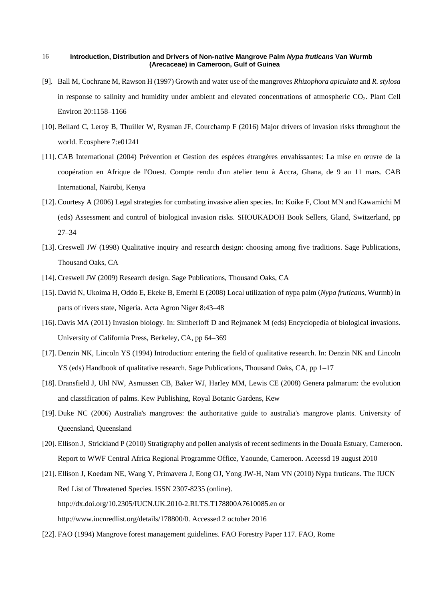- [9]. Ball M, Cochrane M, Rawson H (1997) Growth and water use of the mangroves *Rhizophora apiculata* and *R. stylosa* in response to salinity and humidity under ambient and elevated concentrations of atmospheric CO2. Plant Cell Environ 20:1158–1166
- [10]. Bellard C, Leroy B, Thuiller W, Rysman JF, Courchamp F (2016) Major drivers of invasion risks throughout the world. Ecosphere 7:e01241
- [11]. CAB International (2004) Prévention et Gestion des espèces étrangères envahissantes: La mise en œuvre de la coopération en Afrique de l'Ouest. Compte rendu d'un atelier tenu à Accra, Ghana, de 9 au 11 mars. CAB International, Nairobi, Kenya
- [12]. Courtesy A (2006) Legal strategies for combating invasive alien species. In: Koike F, Clout MN and Kawamichi M (eds) Assessment and control of biological invasion risks. SHOUKADOH Book Sellers, Gland, Switzerland, pp 27–34
- [13]. Creswell JW (1998) Qualitative inquiry and research design: choosing among five traditions. Sage Publications, Thousand Oaks, CA
- [14]. Creswell JW (2009) Research design. Sage Publications, Thousand Oaks, CA
- [15]. David N, Ukoima H, Oddo E, Ekeke B, Emerhi E (2008) Local utilization of nypa palm (*Nypa fruticans*, Wurmb) in parts of rivers state, Nigeria. Acta Agron Niger 8:43–48
- [16]. Davis MA (2011) Invasion biology. In: Simberloff D and Rejmanek M (eds) Encyclopedia of biological invasions. University of California Press, Berkeley, CA, pp 64–369
- [17]. Denzin NK, Lincoln YS (1994) Introduction: entering the field of qualitative research. In: Denzin NK and Lincoln YS (eds) Handbook of qualitative research. Sage Publications, Thousand Oaks, CA, pp 1–17
- [18]. Dransfield J, Uhl NW, Asmussen CB, Baker WJ, Harley MM, Lewis CE (2008) Genera palmarum: the evolution and classification of palms. Kew Publishing, Royal Botanic Gardens, Kew
- [19]. Duke NC (2006) Australia's mangroves: the authoritative guide to australia's mangrove plants. University of Queensland, Queensland
- [20]. Ellison J, Strickland P (2010) Stratigraphy and pollen analysis of recent sediments in the Douala Estuary, Cameroon. Report to WWF Central Africa Regional Programme Office, Yaounde, Cameroon. Aceessd 19 august 2010
- [21]. Ellison J, Koedam NE, Wang Y, Primavera J, Eong OJ, Yong JW-H, Nam VN (2010) Nypa fruticans. The IUCN Red List of Threatened Species. ISSN 2307-8235 (online). http://dx.doi.org/10.2305/IUCN.UK.2010-2.RLTS.T178800A7610085.en or [http://www.iucnredlist.org/details/178800/0.](http://www.iucnredlist.org/details/178800/0) Accessed 2 october 2016
- [22]. FAO (1994) Mangrove forest management guidelines. FAO Forestry Paper 117. FAO, Rome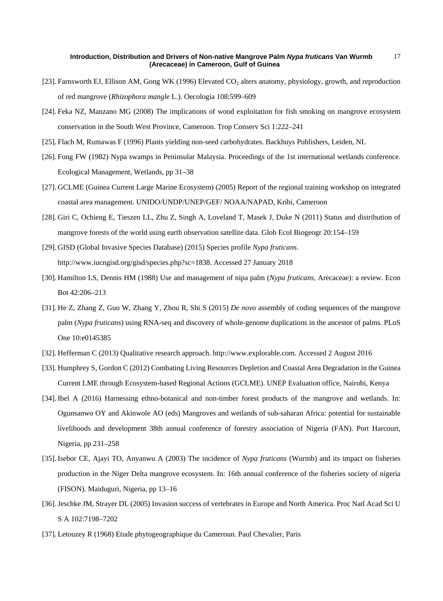- [23]. Farnsworth EJ, Ellison AM, Gong WK (1996) Elevated CO<sub>2</sub> alters anatomy, physiology, growth, and reproduction of red mangrove (*Rhizophora mangle* L.). Oecologia 108:599–609
- [24]. Feka NZ, Manzano MG (2008) The implications of wood exploitation for fish smoking on mangrove ecosystem conservation in the South West Province, Cameroon. Trop Conserv Sci 1:222–241
- [25]. Flach M, Rumawas F (1996) Plants yielding non-seed carbohydrates. Backhuys Publishers, Leiden, NL
- [26]. Fong FW (1982) Nypa swamps in Peninsular Malaysia. Proceedings of the 1st international wetlands conference. Ecological Management, Wetlands, pp 31–38
- [27]. GCLME (Guinea Current Large Marine Ecosystem) (2005) Report of the regional training workshop on integrated coastal area management. UNIDO/UNDP/UNEP/GEF/ NOAA/NAPAD, Kribi, Cameroon
- [28]. Giri C, Ochieng E, Tieszen LL, Zhu Z, Singh A, Loveland T, Masek J, Duke N (2011) Status and distribution of mangrove forests of the world using earth observation satellite data. Glob Ecol Biogeogr 20:154–159
- [29]. GISD (Global Invasive Species Database) (2015) Species profile *Nypa fruticans*. http://www.iucngisd.org/gisd/species.php?sc=1838. Accessed 27 January 2018
- [30]. Hamilton LS, Dennis HM (1988) Use and management of nipa palm (*Nypa fruticans*, Arecaceae): a review. Econ Bot 42:206–213
- [31]. He Z, Zhang Z, Guo W, Zhang Y, Zhou R, Shi S (2015) *De novo* assembly of coding sequences of the mangrove palm (*Nypa fruticans*) using RNA-seq and discovery of whole-genome duplications in the ancestor of palms. PLoS One 10:e0145385
- [32]. Hefferman C (2013) Qualitative research approach. http://www.explorable.com. Accessed 2 August 2016
- [33]. Humphrey S, Gordon C (2012) Combating Living Resources Depletion and Coastal Area Degradation in the Guinea Current LME through Ecosystem-based Regional Actions (GCLME). UNEP Evaluation office, Nairobi, Kenya
- [34]. Ibel A (2016) Harnessing ethno-botanical and non-timber forest products of the mangrove and wetlands. In: Ogunsanwo OY and Akinwole AO (eds) Mangroves and wetlands of sub-saharan Africa: potential for sustainable livelihoods and development 38th annual conference of forestry association of Nigeria (FAN). Port Harcourt, Nigeria, pp 231–258
- [35]. Isebor CE, Ajayi TO, Anyanwu A (2003) The incidence of *Nypa fruticans* (Wurmb) and its impact on fisheries production in the Niger Delta mangrove ecosystem. In: 16th annual conference of the fisheries society of nigeria (FISON). Maiduguri, Nigeria, pp 13–16
- [36]. Jeschke JM, Strayer DL (2005) Invasion success of vertebrates in Europe and North America. Proc Natl Acad Sci U S A 102:7198–7202
- [37]. Letouzey R (1968) Etude phytogeographique du Cameroun. Paul Chevalier, Paris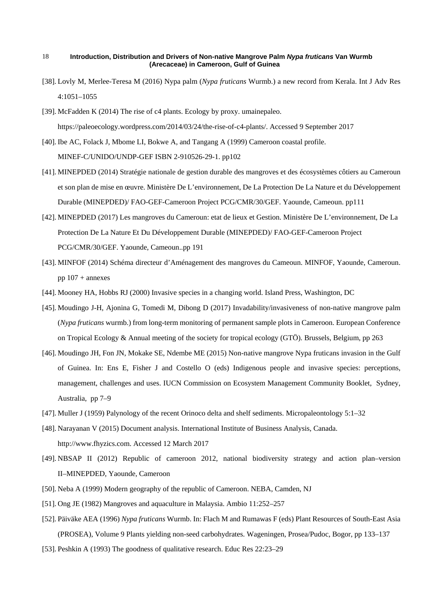- [38]. Lovly M, Merlee-Teresa M (2016) Nypa palm (*Nypa fruticans* Wurmb.) a new record from Kerala. Int J Adv Res 4:1051–1055
- [39]. McFadden K (2014) The rise of c4 plants. Ecology by proxy. [umainepaleo.](https://paleoecology.wordpress.com/author/umainepaleo/) https://paleoecology.wordpress.com/2014/03/24/the-rise-of-c4-plants/. Accessed 9 September 2017
- [40]. Ibe AC, Folack J, Mbome LI, Bokwe A, and Tangang A (1999) Cameroon coastal profile. MINEF-C/UNIDO/UNDP-GEF ISBN 2-910526-29-1. pp102
- [41]. MINEPDED (2014) Stratégie nationale de gestion durable des mangroves et des écosystèmes côtiers au Cameroun et son plan de mise en œuvre. Ministère De L'environnement, De La Protection De La Nature et du Développement Durable (MINEPDED)/ FAO-GEF-Cameroon Project PCG/CMR/30/GEF. Yaounde, Cameoun. pp111
- [42]. MINEPDED (2017) Les mangroves du Cameroun: etat de lieux et Gestion. Ministère De L'environnement, De La Protection De La Nature Et Du Développement Durable (MINEPDED)/ FAO-GEF-Cameroon Project PCG/CMR/30/GEF. Yaounde, Cameoun..pp 191
- [43]. MINFOF (2014) Schéma directeur d'Aménagement des mangroves du Cameoun. MINFOF, Yaounde, Cameroun. pp  $107 +$  annexes
- [44]. Mooney HA, Hobbs RJ (2000) Invasive species in a changing world. Island Press, Washington, DC
- [45]. Moudingo J-H, Ajonina G, Tomedi M, Dibong D (2017) Invadability/invasiveness of non-native mangrove palm (*Nypa fruticans* wurmb.) from long-term monitoring of permanent sample plots in Cameroon. European Conference on Tropical Ecology & Annual meeting of the society for tropical ecology (GTÖ). Brussels, Belgium, pp 263
- [46]. Moudingo JH, Fon JN, Mokake SE, Ndembe ME (2015) Non-native mangrove Nypa fruticans invasion in the Gulf of Guinea. In: Ens E, Fisher J and Costello O (eds) Indigenous people and invasive species: perceptions, management, challenges and uses. IUCN Commission on Ecosystem Management Community Booklet, Sydney, Australia, pp 7–9
- [47]. Muller J (1959) Palynology of the recent Orinoco delta and shelf sediments. Micropaleontology 5:1–32
- [48]. Narayanan V (2015) Document analysis. International Institute of Business Analysis, Canada. http://www.fhyzics.com. Accessed 12 March 2017
- [49]. NBSAP II (2012) Republic of cameroon 2012, national biodiversity strategy and action plan–version II–MINEPDED, Yaounde, Cameroon
- [50]. Neba A (1999) Modern geography of the republic of Cameroon. NEBA, Camden, NJ
- [51]. Ong JE (1982) Mangroves and aquaculture in Malaysia. Ambio 11:252–257
- [52]. Päiväke AEA (1996) *Nypa fruticans* Wurmb. In: Flach M and Rumawas F (eds) Plant Resources of South-East Asia (PROSEA), Volume 9 Plants yielding non-seed carbohydrates. Wageningen, Prosea/Pudoc, Bogor, pp 133–137
- [53]. Peshkin A (1993) The goodness of qualitative research. Educ Res 22:23–29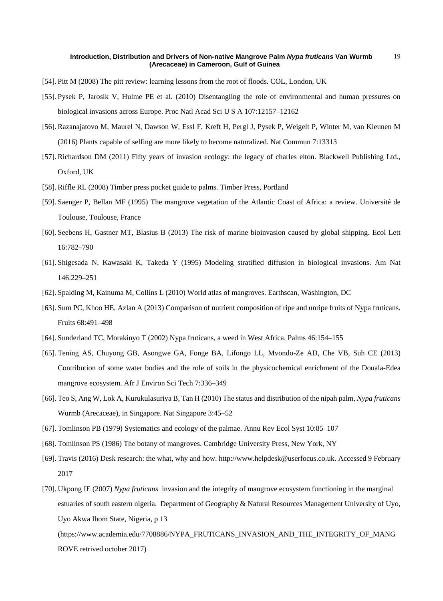- [54]. Pitt M (2008) The pitt review: learning lessons from the root of floods. COL, London, UK
- [55]. Pysek P, Jarosik V, Hulme PE et al. (2010) Disentangling the role of environmental and human pressures on biological invasions across Europe. Proc Natl Acad Sci U S A 107:12157–12162
- [56]. Razanajatovo M, Maurel N, Dawson W, Essl F, Kreft H, Pergl J, Pysek P, Weigelt P, Winter M, van Kleunen M (2016) Plants capable of selfing are more likely to become naturalized. Nat Commun 7:13313
- [57]. Richardson DM (2011) Fifty years of invasion ecology: the legacy of charles elton. Blackwell Publishing Ltd., Oxford, UK
- [58]. Riffle RL (2008) Timber press pocket guide to palms. Timber Press, Portland
- [59]. Saenger P, Bellan MF (1995) The mangrove vegetation of the Atlantic Coast of Africa: a review. Université de Toulouse, Toulouse, France
- [60]. Seebens H, Gastner MT, Blasius B (2013) The risk of marine bioinvasion caused by global shipping. Ecol Lett 16:782–790
- [61]. Shigesada N, Kawasaki K, Takeda Y (1995) Modeling stratified diffusion in biological invasions. Am Nat 146:229–251
- [62]. Spalding M, Kainuma M, Collins L (2010) World atlas of mangroves. Earthscan, Washington, DC
- [63]. Sum PC, Khoo HE, Azlan A (2013) Comparison of nutrient composition of ripe and unripe fruits of Nypa fruticans. Fruits 68:491–498
- [64]. Sunderland TC, Morakinyo T (2002) Nypa fruticans, a weed in West Africa. Palms 46:154–155
- [65]. Tening AS, Chuyong GB, Asongwe GA, Fonge BA, Lifongo LL, Mvondo-Ze AD, Che VB, Suh CE (2013) Contribution of some water bodies and the role of soils in the physicochemical enrichment of the Douala-Edea mangrove ecosystem. Afr J Environ Sci Tech 7:336–349
- [66]. Teo S, Ang W, Lok A, Kurukulasuriya B, Tan H (2010) The status and distribution of the nipah palm, *Nypa fruticans* Wurmb (Arecaceae), in Singapore. Nat Singapore 3:45–52
- [67]. Tomlinson PB (1979) Systematics and ecology of the palmae. Annu Rev Ecol Syst 10:85–107
- [68]. Tomlinson PS (1986) The botany of mangroves. Cambridge University Press, New York, NY
- [69]. Travis (2016) Desk research: the what, why and how. http://www.helpdesk@userfocus.co.uk. Accessed 9 February 2017
- [70]. Ukpong IE (2007) *Nypa fruticans* invasion and the integrity of mangrove ecosystem functioning in the marginal estuaries of south eastern nigeria. Department of Geography & Natural Resources Management University of Uyo, Uyo Akwa Ibom State, Nigeria, p 13

[\(https://www.academia.edu/7708886/NYPA\\_FRUTICANS\\_INVASION\\_AND\\_THE\\_INTEGRITY\\_OF\\_MANG](https://www.academia.edu/7708886/NYPA_FRUTICANS_INVASION_AND_THE_INTEGRITY_OF_MANGROVE) [ROVE](https://www.academia.edu/7708886/NYPA_FRUTICANS_INVASION_AND_THE_INTEGRITY_OF_MANGROVE) retrived october 2017)